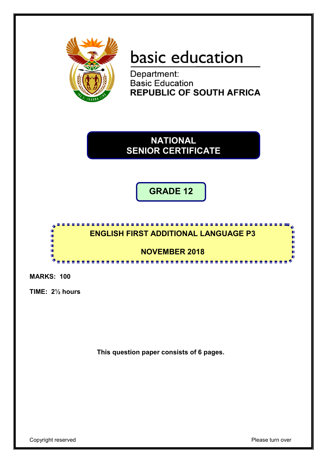

# basic education

Department: **Basic Education REPUBLIC OF SOUTH AFRICA** 

**NATIONAL SENIOR CERTIFICATE**

**GRADE 12**



**MARKS: 100**

**TIME: 2½ hours**

**This question paper consists of 6 pages.**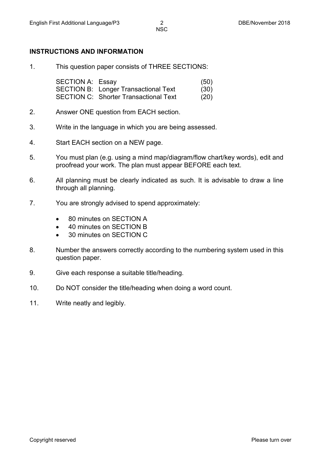### **INSTRUCTIONS AND INFORMATION**

1. This question paper consists of THREE SECTIONS:

SECTION A: Essay (50) SECTION B: Longer Transactional Text (30) SECTION C: Shorter Transactional Text (20)

- 2. Answer ONE question from EACH section.
- 3. Write in the language in which you are being assessed.
- 4. Start EACH section on a NEW page.
- 5. You must plan (e.g. using a mind map/diagram/flow chart/key words), edit and proofread your work. The plan must appear BEFORE each text.
- 6. All planning must be clearly indicated as such. It is advisable to draw a line through all planning.
- 7. You are strongly advised to spend approximately:
	- 80 minutes on SECTION A
	- 40 minutes on SECTION B
	- 30 minutes on SECTION C
- 8. Number the answers correctly according to the numbering system used in this question paper.
- 9. Give each response a suitable title/heading.
- 10. Do NOT consider the title/heading when doing a word count.
- 11. Write neatly and legibly.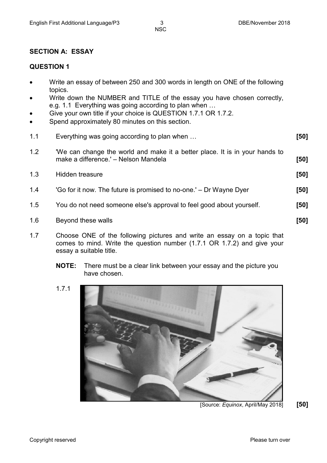# **SECTION A: ESSAY**

### **QUESTION 1**

- Write an essay of between 250 and 300 words in length on ONE of the following topics.
- Write down the NUMBER and TITLE of the essay you have chosen correctly, e.g. 1.1 Everything was going according to plan when …
- Give your own title if your choice is QUESTION 1.7.1 OR 1.7.2.
- Spend approximately 80 minutes on this section.
- 1.1 Everything was going according to plan when … **[50]**
- 1.2 'We can change the world and make it a better place. It is in your hands to make a difference.' – Nelson Mandela **[50]**
- 1.3 Hidden treasure **[50]**
- 1.4 'Go for it now. The future is promised to no-one.' Dr Wayne Dyer **[50]**
- 1.5 You do not need someone else's approval to feel good about yourself. **[50]**
- 1.6 Beyond these walls **[50]**
- 1.7 Choose ONE of the following pictures and write an essay on a topic that comes to mind. Write the question number (1.7.1 OR 1.7.2) and give your essay a suitable title.
	- **NOTE:** There must be a clear link between your essay and the picture you have chosen.
	- 1.7.1



[Source: *Equinox*, April/May 2018] **[50]**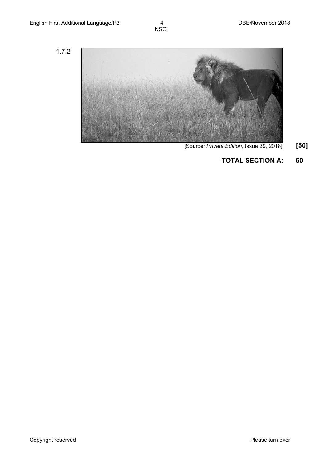1.7.2



- [Source*: Private Edition,* Issue 39, 2018] **[50]**
	- **TOTAL SECTION A: 50**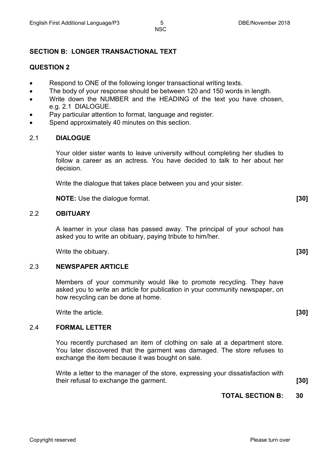NSC

# **SECTION B: LONGER TRANSACTIONAL TEXT**

# **QUESTION 2**

- Respond to ONE of the following longer transactional writing texts.
- The body of your response should be between 120 and 150 words in length.
- Write down the NUMBER and the HEADING of the text you have chosen, e.g. 2.1 DIALOGUE.
- Pay particular attention to format, language and register.
- Spend approximately 40 minutes on this section.

# 2.1 **DIALOGUE**

Your older sister wants to leave university without completing her studies to follow a career as an actress. You have decided to talk to her about her decision.

Write the dialogue that takes place between you and your sister.

**NOTE:** Use the dialogue format. **[30]**

### 2.2 **OBITUARY**

A learner in your class has passed away. The principal of your school has asked you to write an obituary, paying tribute to him/her.

Write the obituary. **[30]**

### 2.3 **NEWSPAPER ARTICLE**

Members of your community would like to promote recycling. They have asked you to write an article for publication in your community newspaper, on how recycling can be done at home.

Write the article. *[30]* 

### 2.4 **FORMAL LETTER**

You recently purchased an item of clothing on sale at a department store. You later discovered that the garment was damaged. The store refuses to exchange the item because it was bought on sale.

Write a letter to the manager of the store, expressing your dissatisfaction with their refusal to exchange the garment. **[30]**

# **TOTAL SECTION B: 30**